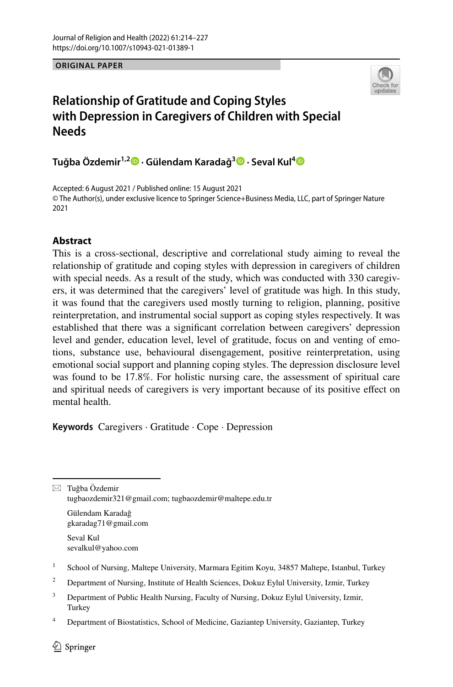**ORIGINAL PAPER**



# **Relationship of Gratitude and Coping Styles with Depression in Caregivers of Children with Special Needs**

**Tuğba Özdemir1,2 · Gülendam Karadağ<sup>3</sup>  [·](http://orcid.org/0000-0003-0289-5306) Seval Kul[4](http://orcid.org/0000-0002-4716-9554)**

Accepted: 6 August 2021 / Published online: 15 August 2021 © The Author(s), under exclusive licence to Springer Science+Business Media, LLC, part of Springer Nature 2021

# **Abstract**

This is a cross-sectional, descriptive and correlational study aiming to reveal the relationship of gratitude and coping styles with depression in caregivers of children with special needs. As a result of the study, which was conducted with 330 caregivers, it was determined that the caregivers' level of gratitude was high. In this study, it was found that the caregivers used mostly turning to religion, planning, positive reinterpretation, and instrumental social support as coping styles respectively. It was established that there was a signifcant correlation between caregivers' depression level and gender, education level, level of gratitude, focus on and venting of emotions, substance use, behavioural disengagement, positive reinterpretation, using emotional social support and planning coping styles. The depression disclosure level was found to be 17.8%. For holistic nursing care, the assessment of spiritual care and spiritual needs of caregivers is very important because of its positive efect on mental health.

**Keywords** Caregivers · Gratitude · Cope · Depression

 $\boxtimes$  Tuğba Özdemir tugbaozdemir321@gmail.com; tugbaozdemir@maltepe.edu.tr

Gülendam Karadağ gkaradag71@gmail.com

Seval Kul sevalkul@yahoo.com

- <sup>1</sup> School of Nursing, Maltepe University, Marmara Egitim Koyu, 34857 Maltepe, Istanbul, Turkey
- <sup>2</sup> Department of Nursing, Institute of Health Sciences, Dokuz Eylul University, Izmir, Turkey
- <sup>3</sup> Department of Public Health Nursing, Faculty of Nursing, Dokuz Eylul University, Izmir, **Turkey**
- <sup>4</sup> Department of Biostatistics, School of Medicine, Gaziantep University, Gaziantep, Turkey

 $\circled{2}$  Springer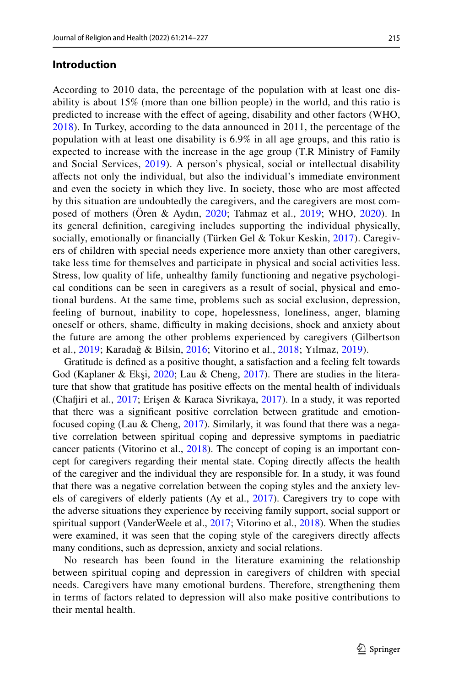### **Introduction**

According to 2010 data, the percentage of the population with at least one disability is about 15% (more than one billion people) in the world, and this ratio is predicted to increase with the efect of ageing, disability and other factors (WHO, [2018\)](#page-13-0). In Turkey, according to the data announced in 2011, the percentage of the population with at least one disability is 6.9% in all age groups, and this ratio is expected to increase with the increase in the age group (T.R Ministry of Family and Social Services, [2019](#page-13-1)). A person's physical, social or intellectual disability afects not only the individual, but also the individual's immediate environment and even the society in which they live. In society, those who are most afected by this situation are undoubtedly the caregivers, and the caregivers are most composed of mothers (Ören & Aydın, [2020](#page-12-0); Tahmaz et al., [2019;](#page-13-2) WHO, [2020\)](#page-13-3). In its general defnition, caregiving includes supporting the individual physically, socially, emotionally or financially (Türken Gel & Tokur Keskin, [2017\)](#page-12-1). Caregivers of children with special needs experience more anxiety than other caregivers, take less time for themselves and participate in physical and social activities less. Stress, low quality of life, unhealthy family functioning and negative psychological conditions can be seen in caregivers as a result of social, physical and emotional burdens. At the same time, problems such as social exclusion, depression, feeling of burnout, inability to cope, hopelessness, loneliness, anger, blaming oneself or others, shame, difficulty in making decisions, shock and anxiety about the future are among the other problems experienced by caregivers (Gilbertson et al., [2019](#page-12-2); Karadağ & Bilsin, [2016](#page-12-3); Vitorino et al., [2018](#page-13-4); Yılmaz, [2019](#page-13-5)).

Gratitude is defned as a positive thought, a satisfaction and a feeling felt towards God (Kaplaner & Ekşi, [2020;](#page-12-4) Lau & Cheng, [2017](#page-12-5)). There are studies in the literature that show that gratitude has positive efects on the mental health of individuals (Chafiri et al., [2017](#page-12-6); Erişen & Karaca Sivrikaya, [2017\)](#page-12-7). In a study, it was reported that there was a signifcant positive correlation between gratitude and emotion-focused coping (Lau & Cheng, [2017](#page-12-5)). Similarly, it was found that there was a negative correlation between spiritual coping and depressive symptoms in paediatric cancer patients (Vitorino et al., [2018](#page-13-4)). The concept of coping is an important concept for caregivers regarding their mental state. Coping directly afects the health of the caregiver and the individual they are responsible for. In a study, it was found that there was a negative correlation between the coping styles and the anxiety levels of caregivers of elderly patients (Ay et al., [2017](#page-11-0)). Caregivers try to cope with the adverse situations they experience by receiving family support, social support or spiritual support (VanderWeele et al., [2017;](#page-13-6) Vitorino et al., [2018\)](#page-13-4). When the studies were examined, it was seen that the coping style of the caregivers directly afects many conditions, such as depression, anxiety and social relations.

No research has been found in the literature examining the relationship between spiritual coping and depression in caregivers of children with special needs. Caregivers have many emotional burdens. Therefore, strengthening them in terms of factors related to depression will also make positive contributions to their mental health.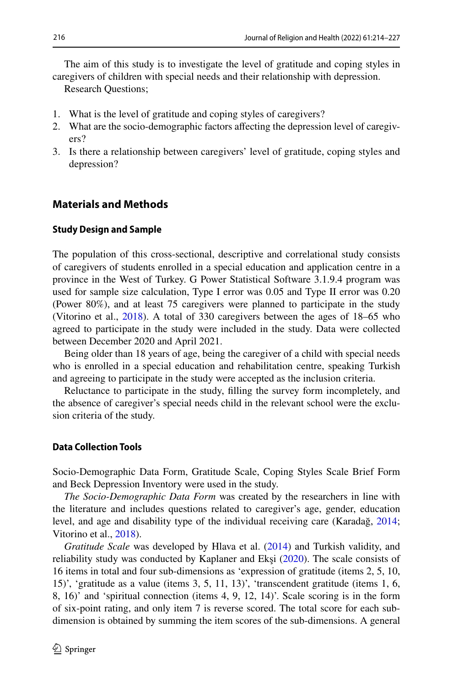The aim of this study is to investigate the level of gratitude and coping styles in caregivers of children with special needs and their relationship with depression.

Research Questions;

- 1. What is the level of gratitude and coping styles of caregivers?
- 2. What are the socio-demographic factors afecting the depression level of caregivers?
- 3. Is there a relationship between caregivers' level of gratitude, coping styles and depression?

### **Materials and Methods**

#### **Study Design and Sample**

The population of this cross-sectional, descriptive and correlational study consists of caregivers of students enrolled in a special education and application centre in a province in the West of Turkey. G Power Statistical Software 3.1.9.4 program was used for sample size calculation, Type I error was 0.05 and Type II error was 0.20 (Power 80%), and at least 75 caregivers were planned to participate in the study (Vitorino et al., [2018\)](#page-13-4). A total of 330 caregivers between the ages of 18–65 who agreed to participate in the study were included in the study. Data were collected between December 2020 and April 2021.

Being older than 18 years of age, being the caregiver of a child with special needs who is enrolled in a special education and rehabilitation centre, speaking Turkish and agreeing to participate in the study were accepted as the inclusion criteria.

Reluctance to participate in the study, flling the survey form incompletely, and the absence of caregiver's special needs child in the relevant school were the exclusion criteria of the study.

### **Data Collection Tools**

Socio-Demographic Data Form, Gratitude Scale, Coping Styles Scale Brief Form and Beck Depression Inventory were used in the study.

*The Socio-Demographic Data Form* was created by the researchers in line with the literature and includes questions related to caregiver's age, gender, education level, and age and disability type of the individual receiving care (Karadağ, [2014;](#page-12-8) Vitorino et al., [2018\)](#page-13-4).

*Gratitude Scale* was developed by Hlava et al. [\(2014](#page-12-9)) and Turkish validity, and reliability study was conducted by Kaplaner and Ekşi ([2020\)](#page-12-4). The scale consists of 16 items in total and four sub-dimensions as 'expression of gratitude (items 2, 5, 10, 15)', 'gratitude as a value (items 3, 5, 11, 13)', 'transcendent gratitude (items 1, 6, 8, 16)' and 'spiritual connection (items 4, 9, 12, 14)'. Scale scoring is in the form of six-point rating, and only item 7 is reverse scored. The total score for each subdimension is obtained by summing the item scores of the sub-dimensions. A general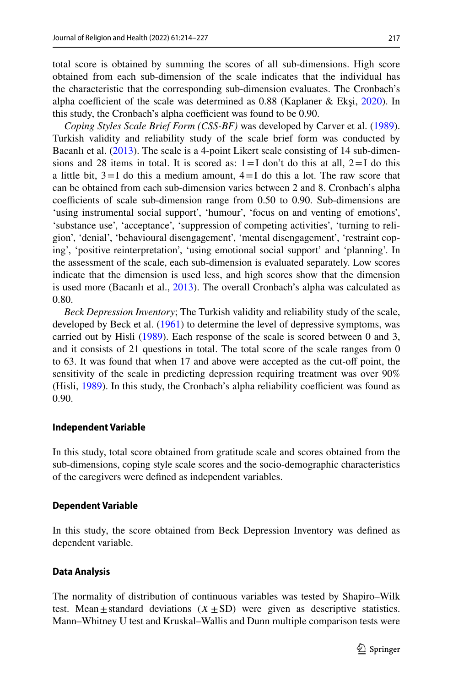total score is obtained by summing the scores of all sub-dimensions. High score obtained from each sub-dimension of the scale indicates that the individual has the characteristic that the corresponding sub-dimension evaluates. The Cronbach's alpha coefficient of the scale was determined as  $0.88$  (Kaplaner & Eksi, [2020\)](#page-12-4). In this study, the Cronbach's alpha coefficient was found to be 0.90.

*Coping Styles Scale Brief Form (CSS-BF)* was developed by Carver et al. ([1989\)](#page-11-1). Turkish validity and reliability study of the scale brief form was conducted by Bacanlı et al. ([2013\)](#page-11-2). The scale is a 4-point Likert scale consisting of 14 sub-dimensions and 28 items in total. It is scored as:  $1 = I$  don't do this at all,  $2 = I$  do this a little bit,  $3=I$  do this a medium amount,  $4=I$  do this a lot. The raw score that can be obtained from each sub-dimension varies between 2 and 8. Cronbach's alpha coefficients of scale sub-dimension range from  $0.50$  to  $0.90$ . Sub-dimensions are 'using instrumental social support', 'humour', 'focus on and venting of emotions', 'substance use', 'acceptance', 'suppression of competing activities', 'turning to religion', 'denial', 'behavioural disengagement', 'mental disengagement', 'restraint coping', 'positive reinterpretation', 'using emotional social support' and 'planning'. In the assessment of the scale, each sub-dimension is evaluated separately. Low scores indicate that the dimension is used less, and high scores show that the dimension is used more (Bacanlı et al., [2013\)](#page-11-2). The overall Cronbach's alpha was calculated as 0.80.

*Beck Depression Inventory*; The Turkish validity and reliability study of the scale, developed by Beck et al. [\(1961](#page-11-3)) to determine the level of depressive symptoms, was carried out by Hisli ([1989\)](#page-12-10). Each response of the scale is scored between 0 and 3, and it consists of 21 questions in total. The total score of the scale ranges from 0 to 63. It was found that when 17 and above were accepted as the cut-of point, the sensitivity of the scale in predicting depression requiring treatment was over 90% (Hisli,  $1989$ ). In this study, the Cronbach's alpha reliability coefficient was found as 0.90.

### **Independent Variable**

In this study, total score obtained from gratitude scale and scores obtained from the sub-dimensions, coping style scale scores and the socio-demographic characteristics of the caregivers were defned as independent variables.

#### **Dependent Variable**

In this study, the score obtained from Beck Depression Inventory was defned as dependent variable.

#### **Data Analysis**

The normality of distribution of continuous variables was tested by Shapiro–Wilk test. Mean $\pm$ standard deviations  $(X \pm SD)$  were given as descriptive statistics. Mann–Whitney U test and Kruskal–Wallis and Dunn multiple comparison tests were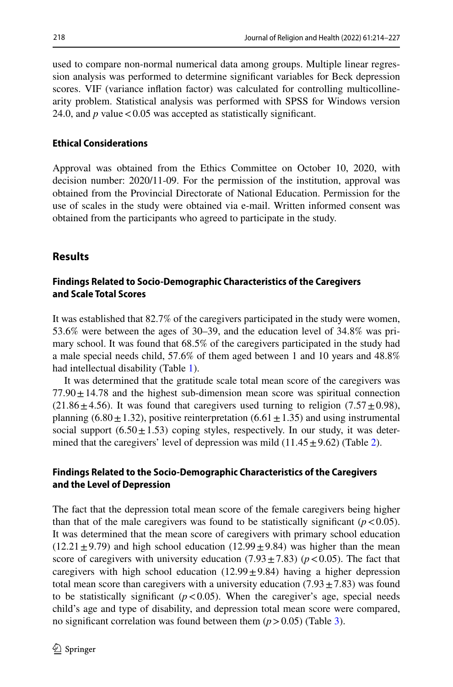used to compare non-normal numerical data among groups. Multiple linear regression analysis was performed to determine signifcant variables for Beck depression scores. VIF (variance infation factor) was calculated for controlling multicollinearity problem. Statistical analysis was performed with SPSS for Windows version 24.0, and  $p$  value  $< 0.05$  was accepted as statistically significant.

# **Ethical Considerations**

Approval was obtained from the Ethics Committee on October 10, 2020, with decision number: 2020/11-09. For the permission of the institution, approval was obtained from the Provincial Directorate of National Education. Permission for the use of scales in the study were obtained via e-mail. Written informed consent was obtained from the participants who agreed to participate in the study.

# **Results**

# **Findings Related to Socio‑Demographic Characteristics of the Caregivers and Scale Total Scores**

It was established that 82.7% of the caregivers participated in the study were women, 53.6% were between the ages of 30–39, and the education level of 34.8% was primary school. It was found that 68.5% of the caregivers participated in the study had a male special needs child, 57.6% of them aged between 1 and 10 years and 48.8% had intellectual disability (Table [1\)](#page-5-0).

It was determined that the gratitude scale total mean score of the caregivers was  $77.90 \pm 14.78$  and the highest sub-dimension mean score was spiritual connection  $(21.86 \pm 4.56)$ . It was found that caregivers used turning to religion  $(7.57 \pm 0.98)$ , planning (6.80 $\pm$ 1.32), positive reinterpretation (6.61 $\pm$ 1.35) and using instrumental social support  $(6.50 \pm 1.53)$  coping styles, respectively. In our study, it was determined that the caregivers' level of depression was mild  $(11.45 \pm 9.62)$  (Table [2](#page-6-0)).

# **Findings Related to the Socio‑Demographic Characteristics of the Caregivers and the Level of Depression**

The fact that the depression total mean score of the female caregivers being higher than that of the male caregivers was found to be statistically significant  $(p<0.05)$ . It was determined that the mean score of caregivers with primary school education  $(12.21 \pm 9.79)$  and high school education  $(12.99 \pm 9.84)$  was higher than the mean score of caregivers with university education  $(7.93 \pm 7.83)$  ( $p < 0.05$ ). The fact that caregivers with high school education  $(12.99 \pm 9.84)$  having a higher depression total mean score than caregivers with a university education  $(7.93 \pm 7.83)$  was found to be statistically significant  $(p < 0.05)$ . When the caregiver's age, special needs child's age and type of disability, and depression total mean score were compared, no significant correlation was found between them  $(p > 0.05)$  (Table [3](#page-7-0)).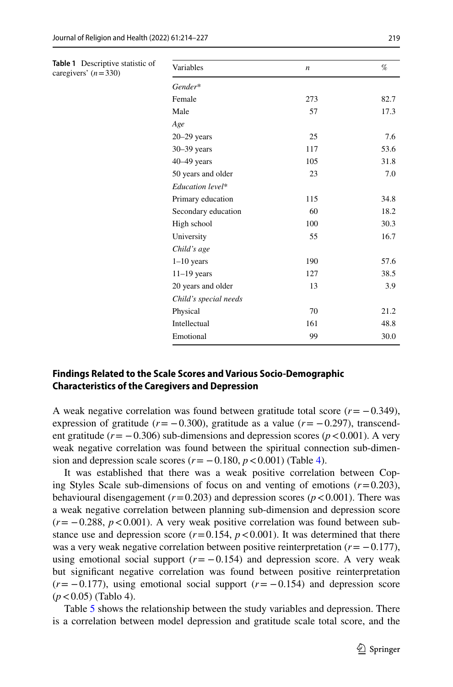<span id="page-5-0"></span>

| Table 1 Descriptive statistic of<br>caregivers' $(n=330)$ | Variables             | $\boldsymbol{n}$ | %    |  |  |  |  |
|-----------------------------------------------------------|-----------------------|------------------|------|--|--|--|--|
|                                                           | Gender*               |                  |      |  |  |  |  |
|                                                           | Female                | 273              | 82.7 |  |  |  |  |
|                                                           | Male                  | 57               | 17.3 |  |  |  |  |
|                                                           | Age                   |                  |      |  |  |  |  |
|                                                           | $20 - 29$ years       | 25               | 7.6  |  |  |  |  |
|                                                           | $30 - 39$ years       | 117              | 53.6 |  |  |  |  |
|                                                           | $40-49$ years         | 105              | 31.8 |  |  |  |  |
|                                                           | 50 years and older    | 23               | 7.0  |  |  |  |  |
|                                                           | Education level*      |                  |      |  |  |  |  |
|                                                           | Primary education     | 115              | 34.8 |  |  |  |  |
|                                                           | Secondary education   | 60               | 18.2 |  |  |  |  |
|                                                           | High school           | 100              | 30.3 |  |  |  |  |
|                                                           | University            | 55               | 16.7 |  |  |  |  |
|                                                           | Child's age           |                  |      |  |  |  |  |
|                                                           | $1-10$ years          | 190              | 57.6 |  |  |  |  |
|                                                           | $11-19$ years         | 127              | 38.5 |  |  |  |  |
|                                                           | 20 years and older    | 13               | 3.9  |  |  |  |  |
|                                                           | Child's special needs |                  |      |  |  |  |  |
|                                                           | Physical              | 70               | 21.2 |  |  |  |  |
|                                                           | Intellectual          | 161              | 48.8 |  |  |  |  |
|                                                           | Emotional             | 99               | 30.0 |  |  |  |  |

# **Findings Related to the Scale Scores and Various Socio‑Demographic Characteristics of the Caregivers and Depression**

A weak negative correlation was found between gratitude total score  $(r = -0.349)$ , expression of gratitude ( $r = -0.300$ ), gratitude as a value ( $r = -0.297$ ), transcendent gratitude ( $r = -0.306$ ) sub-dimensions and depression scores ( $p < 0.001$ ). A very weak negative correlation was found between the spiritual connection sub-dimension and depression scale scores  $(r = -0.180, p < 0.001)$  (Table [4\)](#page-8-0).

It was established that there was a weak positive correlation between Coping Styles Scale sub-dimensions of focus on and venting of emotions (*r*=0.203), behavioural disengagement ( $r=0.203$ ) and depression scores ( $p < 0.001$ ). There was a weak negative correlation between planning sub-dimension and depression score  $(r=-0.288, p<0.001)$ . A very weak positive correlation was found between substance use and depression score  $(r=0.154, p<0.001)$ . It was determined that there was a very weak negative correlation between positive reinterpretation  $(r = -0.177)$ , using emotional social support  $(r = -0.154)$  and depression score. A very weak but signifcant negative correlation was found between positive reinterpretation  $(r = -0.177)$ , using emotional social support  $(r = -0.154)$  and depression score (*p*<0.05) (Tablo 4).

Table [5](#page-8-1) shows the relationship between the study variables and depression. There is a correlation between model depression and gratitude scale total score, and the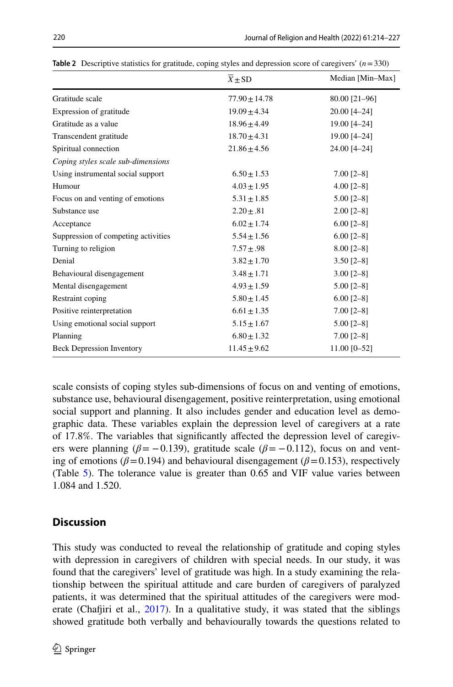|                                     | $\overline{X}$ ± SD | Median [Min-Max] |
|-------------------------------------|---------------------|------------------|
| Gratitude scale                     | $77.90 \pm 14.78$   | 80.00 [21-96]    |
| Expression of gratitude             | $19.09 \pm 4.34$    | 20.00 [4-24]     |
| Gratitude as a value                | $18.96 \pm 4.49$    | 19.00 [4-24]     |
| Transcendent gratitude              | $18.70 \pm 4.31$    | 19.00 [4-24]     |
| Spiritual connection                | $21.86 \pm 4.56$    | 24.00 [4-24]     |
| Coping styles scale sub-dimensions  |                     |                  |
| Using instrumental social support   | $6.50 \pm 1.53$     | $7.00$ [2-8]     |
| Humour                              | $4.03 \pm 1.95$     | $4.00$ [2-8]     |
| Focus on and venting of emotions    | $5.31 \pm 1.85$     | $5.00$ [2-8]     |
| Substance use                       | $2.20 \pm .81$      | $2.00$ [2-8]     |
| Acceptance                          | $6.02 \pm 1.74$     | $6.00 [2 - 8]$   |
| Suppression of competing activities | $5.54 \pm 1.56$     | $6.00$ [2-8]     |
| Turning to religion                 | $7.57 \pm .98$      | $8.00$ [2-8]     |
| Denial                              | $3.82 \pm 1.70$     | $3.50$ [2-8]     |
| Behavioural disengagement           | $3.48 \pm 1.71$     | $3.00$ [2-8]     |
| Mental disengagement                | $4.93 \pm 1.59$     | $5.00$ [2-8]     |
| Restraint coping                    | $5.80 \pm 1.45$     | $6.00$ [2-8]     |
| Positive reinterpretation           | $6.61 \pm 1.35$     | $7.00$ $[2-8]$   |
| Using emotional social support      | $5.15 \pm 1.67$     | $5.00$ [2-8]     |
| Planning                            | $6.80 \pm 1.32$     | $7.00$ $[2-8]$   |
| <b>Beck Depression Inventory</b>    | $11.45 \pm 9.62$    | 11.00 [0-52]     |

<span id="page-6-0"></span>**Table 2** Descriptive statistics for gratitude, coping styles and depression score of caregivers' (*n*=330)

scale consists of coping styles sub-dimensions of focus on and venting of emotions, substance use, behavioural disengagement, positive reinterpretation, using emotional social support and planning. It also includes gender and education level as demographic data. These variables explain the depression level of caregivers at a rate of 17.8%. The variables that signifcantly afected the depression level of caregivers were planning ( $\beta$ = −0.139), gratitude scale ( $\beta$ = −0.112), focus on and venting of emotions ( $\beta$ =0.194) and behavioural disengagement ( $\beta$ =0.153), respectively (Table [5\)](#page-8-1). The tolerance value is greater than 0.65 and VIF value varies between 1.084 and 1.520.

# **Discussion**

This study was conducted to reveal the relationship of gratitude and coping styles with depression in caregivers of children with special needs. In our study, it was found that the caregivers' level of gratitude was high. In a study examining the relationship between the spiritual attitude and care burden of caregivers of paralyzed patients, it was determined that the spiritual attitudes of the caregivers were moderate (Chafjiri et al.,  $2017$ ). In a qualitative study, it was stated that the siblings showed gratitude both verbally and behaviourally towards the questions related to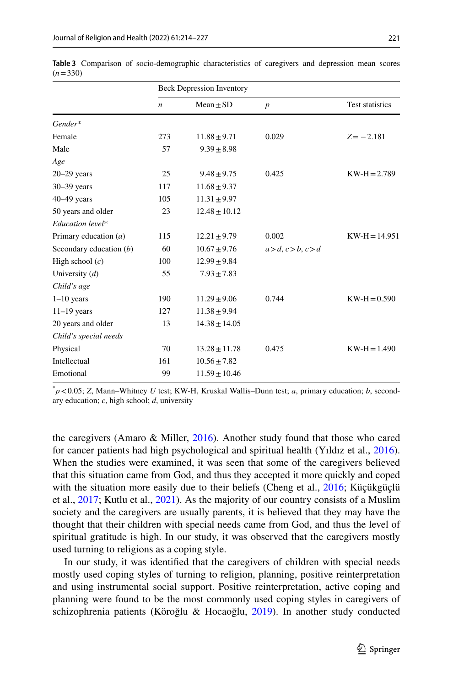|                           | <b>Beck Depression Inventory</b> |                   |                  |                 |  |
|---------------------------|----------------------------------|-------------------|------------------|-----------------|--|
|                           | n                                | $Mean \pm SD$     | $\boldsymbol{p}$ | Test statistics |  |
| Gender*                   |                                  |                   |                  |                 |  |
| Female                    | 273                              | $11.88 \pm 9.71$  | 0.029            | $Z = -2.181$    |  |
| Male                      | 57                               | $9.39 \pm 8.98$   |                  |                 |  |
| Age                       |                                  |                   |                  |                 |  |
| $20 - 29$ years           | 25                               | $9.48 \pm 9.75$   | 0.425            | $KW-H = 2.789$  |  |
| $30 - 39$ years           | 117                              | $11.68 \pm 9.37$  |                  |                 |  |
| $40-49$ years             | 105                              | $11.31 \pm 9.97$  |                  |                 |  |
| 50 years and older        | 23                               | $12.48 \pm 10.12$ |                  |                 |  |
| Education level*          |                                  |                   |                  |                 |  |
| Primary education $(a)$   | 115                              | $12.21 \pm 9.79$  | 0.002            | $KW-H=14.951$   |  |
| Secondary education $(b)$ | 60                               | $10.67 \pm 9.76$  | a>d, c>b, c>d    |                 |  |
| High school $(c)$         | 100                              | $12.99 \pm 9.84$  |                  |                 |  |
| University $(d)$          | 55                               | $7.93 \pm 7.83$   |                  |                 |  |
| Child's age               |                                  |                   |                  |                 |  |
| $1-10$ years              | 190                              | $11.29 \pm 9.06$  | 0.744            | $KW-H=0.590$    |  |
| $11-19$ years             | 127                              | $11.38 \pm 9.94$  |                  |                 |  |
| 20 years and older        | 13                               | $14.38 \pm 14.05$ |                  |                 |  |
| Child's special needs     |                                  |                   |                  |                 |  |
| Physical                  | 70                               | $13.28 \pm 11.78$ | 0.475            | $KW-H = 1.490$  |  |
| Intellectual              | 161                              | $10.56 \pm 7.82$  |                  |                 |  |
| Emotional                 | 99                               | $11.59 \pm 10.46$ |                  |                 |  |

<span id="page-7-0"></span>**Table 3** Comparison of socio-demographic characteristics of caregivers and depression mean scores  $(n=330)$ 

\* *p*<0.05; *Z*, Mann–Whitney *U* test; KW-H, Kruskal Wallis–Dunn test; *a*, primary education; *b*, secondary education; *c*, high school; *d*, university

the caregivers (Amaro  $\&$  Miller, [2016\)](#page-11-4). Another study found that those who cared for cancer patients had high psychological and spiritual health (Yıldız et al., [2016\)](#page-13-7). When the studies were examined, it was seen that some of the caregivers believed that this situation came from God, and thus they accepted it more quickly and coped with the situation more easily due to their beliefs (Cheng et al., [2016;](#page-12-11) Küçükgüçlü et al., [2017;](#page-12-12) Kutlu et al., [2021\)](#page-12-13). As the majority of our country consists of a Muslim society and the caregivers are usually parents, it is believed that they may have the thought that their children with special needs came from God, and thus the level of spiritual gratitude is high. In our study, it was observed that the caregivers mostly used turning to religions as a coping style.

In our study, it was identifed that the caregivers of children with special needs mostly used coping styles of turning to religion, planning, positive reinterpretation and using instrumental social support. Positive reinterpretation, active coping and planning were found to be the most commonly used coping styles in caregivers of schizophrenia patients (Köroğlu & Hocaoğlu, [2019](#page-12-14)). In another study conducted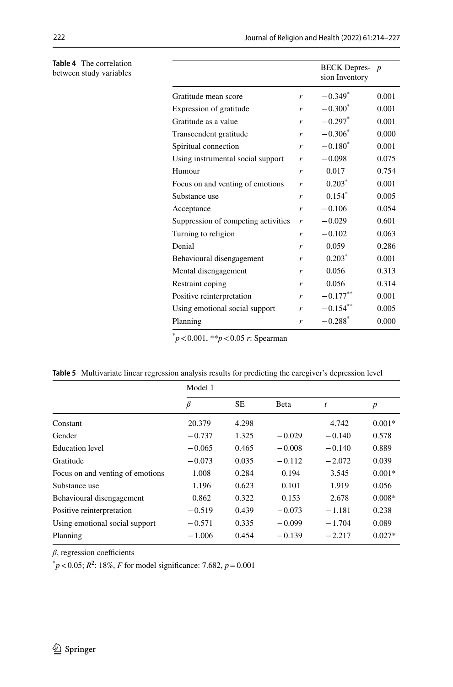|                                     |   | <b>BECK</b> Depres-<br>sion Inventory | $\boldsymbol{p}$ |
|-------------------------------------|---|---------------------------------------|------------------|
| Gratitude mean score                | r | $-0.349*$                             | 0.001            |
| Expression of gratitude             | r | $-0.300^*$                            | 0.001            |
| Gratitude as a value                | r | $-0.297*$                             | 0.001            |
| Transcendent gratitude              | r | $-0.306*$                             | 0.000            |
| Spiritual connection                | r | $-0.180^{*}$                          | 0.001            |
| Using instrumental social support   | r | $-0.098$                              | 0.075            |
| Humour                              | r | 0.017                                 | 0.754            |
| Focus on and venting of emotions    | r | $0.203*$                              | 0.001            |
| Substance use                       | r | $0.154$ <sup>*</sup>                  | 0.005            |
| Acceptance                          | r | $-0.106$                              | 0.054            |
| Suppression of competing activities | r | $-0.029$                              | 0.601            |
| Turning to religion                 | r | $-0.102$                              | 0.063            |
| Denial                              | r | 0.059                                 | 0.286            |
| Behavioural disengagement           | r | $0.203*$                              | 0.001            |
| Mental disengagement                | r | 0.056                                 | 0.313            |
| Restraint coping                    | r | 0.056                                 | 0.314            |
| Positive reinterpretation           | r | $-0.177***$                           | 0.001            |
| Using emotional social support      | r | $-0.154***$                           | 0.005            |
| Planning                            | r | $-0.288*$                             | 0.000            |

\* *p*<0.001, \*\**p*<0.05 *r*: Spearman

<span id="page-8-1"></span>

|  |  | Table 5 Multivariate linear regression analysis results for predicting the caregiver's depression level |  |  |  |  |  |  |  |
|--|--|---------------------------------------------------------------------------------------------------------|--|--|--|--|--|--|--|
|--|--|---------------------------------------------------------------------------------------------------------|--|--|--|--|--|--|--|

|                                  | Model 1  |           |          |          |                  |  |
|----------------------------------|----------|-----------|----------|----------|------------------|--|
|                                  | ß        | <b>SE</b> | Beta     | t        | $\boldsymbol{p}$ |  |
| Constant                         | 20.379   | 4.298     |          | 4.742    | $0.001*$         |  |
| Gender                           | $-0.737$ | 1.325     | $-0.029$ | $-0.140$ | 0.578            |  |
| <b>Education</b> level           | $-0.065$ | 0.465     | $-0.008$ | $-0.140$ | 0.889            |  |
| Gratitude                        | $-0.073$ | 0.035     | $-0.112$ | $-2.072$ | 0.039            |  |
| Focus on and venting of emotions | 1.008    | 0.284     | 0.194    | 3.545    | $0.001*$         |  |
| Substance use                    | 1.196    | 0.623     | 0.101    | 1.919    | 0.056            |  |
| Behavioural disengagement        | 0.862    | 0.322     | 0.153    | 2.678    | $0.008*$         |  |
| Positive reinterpretation        | $-0.519$ | 0.439     | $-0.073$ | $-1.181$ | 0.238            |  |
| Using emotional social support   | $-0.571$ | 0.335     | $-0.099$ | $-1.704$ | 0.089            |  |
| Planning                         | $-1.006$ | 0.454     | $-0.139$ | $-2.217$ | $0.027*$         |  |

 $\beta$ , regression coefficients

 $p^*$   $p$  < 0.05;  $R^2$ : 18%, *F* for model significance: 7.682,  $p$  = 0.001

<span id="page-8-0"></span>**Table 4** The correlation between study variables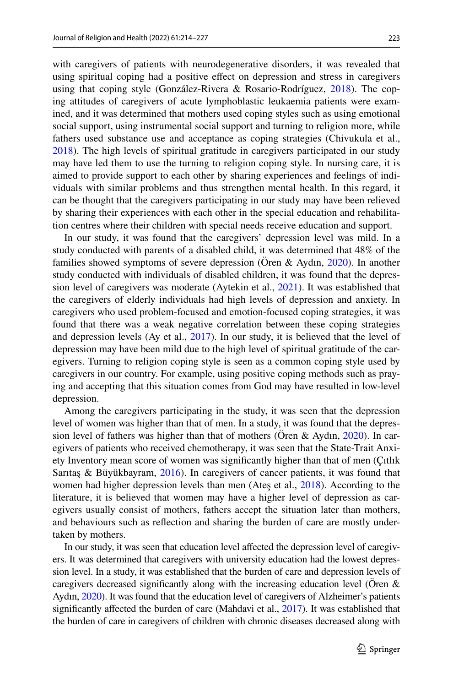with caregivers of patients with neurodegenerative disorders, it was revealed that using spiritual coping had a positive efect on depression and stress in caregivers using that coping style (González-Rivera & Rosario-Rodríguez, [2018\)](#page-12-15). The coping attitudes of caregivers of acute lymphoblastic leukaemia patients were examined, and it was determined that mothers used coping styles such as using emotional social support, using instrumental social support and turning to religion more, while fathers used substance use and acceptance as coping strategies (Chivukula et al., [2018](#page-12-16)). The high levels of spiritual gratitude in caregivers participated in our study may have led them to use the turning to religion coping style. In nursing care, it is aimed to provide support to each other by sharing experiences and feelings of individuals with similar problems and thus strengthen mental health. In this regard, it can be thought that the caregivers participating in our study may have been relieved by sharing their experiences with each other in the special education and rehabilitation centres where their children with special needs receive education and support.

In our study, it was found that the caregivers' depression level was mild. In a study conducted with parents of a disabled child, it was determined that 48% of the families showed symptoms of severe depression (Ören & Aydın, [2020\)](#page-12-0). In another study conducted with individuals of disabled children, it was found that the depression level of caregivers was moderate (Aytekin et al., [2021\)](#page-11-5). It was established that the caregivers of elderly individuals had high levels of depression and anxiety. In caregivers who used problem-focused and emotion-focused coping strategies, it was found that there was a weak negative correlation between these coping strategies and depression levels (Ay et al., [2017\)](#page-11-0). In our study, it is believed that the level of depression may have been mild due to the high level of spiritual gratitude of the caregivers. Turning to religion coping style is seen as a common coping style used by caregivers in our country. For example, using positive coping methods such as praying and accepting that this situation comes from God may have resulted in low-level depression.

Among the caregivers participating in the study, it was seen that the depression level of women was higher than that of men. In a study, it was found that the depression level of fathers was higher than that of mothers (Ören & Aydın,  $2020$ ). In caregivers of patients who received chemotherapy, it was seen that the State-Trait Anxiety Inventory mean score of women was signifcantly higher than that of men (Çıtlık Sarıtaş & Büyükbayram, [2016](#page-13-8)). In caregivers of cancer patients, it was found that women had higher depression levels than men (Ateş et al., [2018](#page-11-6)). According to the literature, it is believed that women may have a higher level of depression as caregivers usually consist of mothers, fathers accept the situation later than mothers, and behaviours such as refection and sharing the burden of care are mostly undertaken by mothers.

In our study, it was seen that education level affected the depression level of caregivers. It was determined that caregivers with university education had the lowest depression level. In a study, it was established that the burden of care and depression levels of caregivers decreased significantly along with the increasing education level (Oren  $\&$ Aydın, [2020\)](#page-12-0). It was found that the education level of caregivers of Alzheimer's patients signifcantly afected the burden of care (Mahdavi et al., [2017](#page-12-17)). It was established that the burden of care in caregivers of children with chronic diseases decreased along with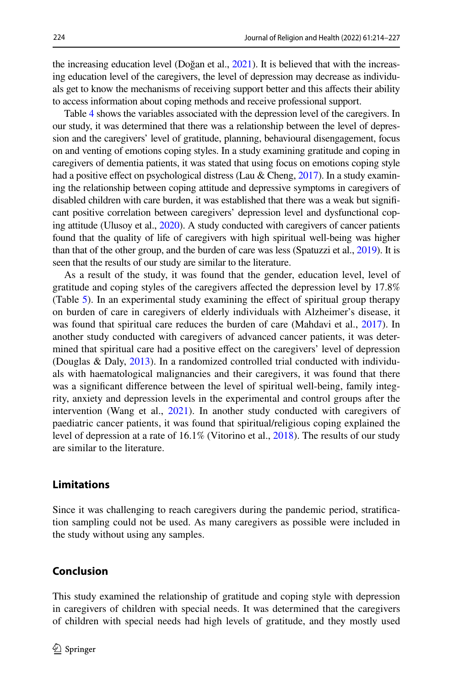the increasing education level (Doğan et al., [2021\)](#page-12-18). It is believed that with the increasing education level of the caregivers, the level of depression may decrease as individuals get to know the mechanisms of receiving support better and this afects their ability to access information about coping methods and receive professional support.

Table [4](#page-8-0) shows the variables associated with the depression level of the caregivers. In our study, it was determined that there was a relationship between the level of depression and the caregivers' level of gratitude, planning, behavioural disengagement, focus on and venting of emotions coping styles. In a study examining gratitude and coping in caregivers of dementia patients, it was stated that using focus on emotions coping style had a positive effect on psychological distress (Lau & Cheng,  $2017$ ). In a study examining the relationship between coping attitude and depressive symptoms in caregivers of disabled children with care burden, it was established that there was a weak but signifcant positive correlation between caregivers' depression level and dysfunctional coping attitude (Ulusoy et al., [2020](#page-13-9)). A study conducted with caregivers of cancer patients found that the quality of life of caregivers with high spiritual well-being was higher than that of the other group, and the burden of care was less (Spatuzzi et al., [2019\)](#page-13-10). It is seen that the results of our study are similar to the literature.

As a result of the study, it was found that the gender, education level, level of gratitude and coping styles of the caregivers afected the depression level by 17.8% (Table [5\)](#page-8-1). In an experimental study examining the efect of spiritual group therapy on burden of care in caregivers of elderly individuals with Alzheimer's disease, it was found that spiritual care reduces the burden of care (Mahdavi et al., [2017\)](#page-12-17). In another study conducted with caregivers of advanced cancer patients, it was determined that spiritual care had a positive efect on the caregivers' level of depression (Douglas & Daly, [2013\)](#page-12-19). In a randomized controlled trial conducted with individuals with haematological malignancies and their caregivers, it was found that there was a signifcant diference between the level of spiritual well-being, family integrity, anxiety and depression levels in the experimental and control groups after the intervention (Wang et al., [2021](#page-13-11)). In another study conducted with caregivers of paediatric cancer patients, it was found that spiritual/religious coping explained the level of depression at a rate of 16.1% (Vitorino et al., [2018](#page-13-4)). The results of our study are similar to the literature.

### **Limitations**

Since it was challenging to reach caregivers during the pandemic period, stratifcation sampling could not be used. As many caregivers as possible were included in the study without using any samples.

### **Conclusion**

This study examined the relationship of gratitude and coping style with depression in caregivers of children with special needs. It was determined that the caregivers of children with special needs had high levels of gratitude, and they mostly used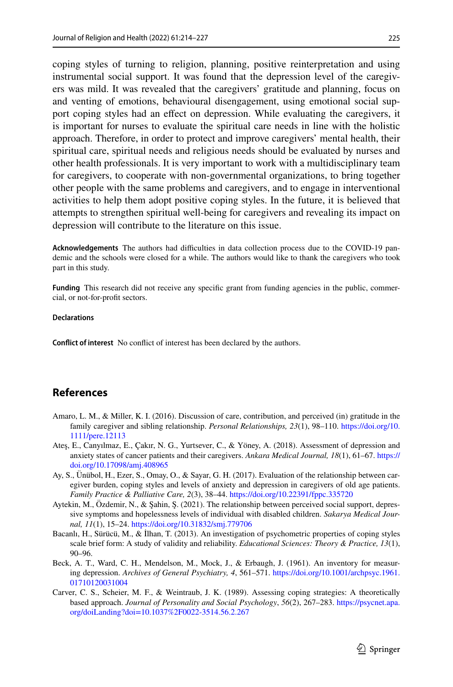coping styles of turning to religion, planning, positive reinterpretation and using instrumental social support. It was found that the depression level of the caregivers was mild. It was revealed that the caregivers' gratitude and planning, focus on and venting of emotions, behavioural disengagement, using emotional social support coping styles had an effect on depression. While evaluating the caregivers, it is important for nurses to evaluate the spiritual care needs in line with the holistic approach. Therefore, in order to protect and improve caregivers' mental health, their spiritual care, spiritual needs and religious needs should be evaluated by nurses and other health professionals. It is very important to work with a multidisciplinary team for caregivers, to cooperate with non-governmental organizations, to bring together other people with the same problems and caregivers, and to engage in interventional activities to help them adopt positive coping styles. In the future, it is believed that attempts to strengthen spiritual well-being for caregivers and revealing its impact on depression will contribute to the literature on this issue.

**Acknowledgements** The authors had difficulties in data collection process due to the COVID-19 pandemic and the schools were closed for a while. The authors would like to thank the caregivers who took part in this study.

**Funding** This research did not receive any specific grant from funding agencies in the public, commercial, or not-for-proft sectors.

#### **Declarations**

**Confict of interest** No confict of interest has been declared by the authors.

# **References**

- <span id="page-11-4"></span>Amaro, L. M., & Miller, K. I. (2016). Discussion of care, contribution, and perceived (in) gratitude in the family caregiver and sibling relationship. *Personal Relationships, 23*(1), 98–110. [https://doi.org/10.](https://doi.org/10.1111/pere.12113) [1111/pere.12113](https://doi.org/10.1111/pere.12113)
- <span id="page-11-6"></span>Ateş, E., Canyılmaz, E., Çakır, N. G., Yurtsever, C., & Yöney, A. (2018). Assessment of depression and anxiety states of cancer patients and their caregivers. *Ankara Medical Journal, 18*(1), 61–67. [https://](https://doi.org/10.17098/amj.408965) [doi.org/10.17098/amj.408965](https://doi.org/10.17098/amj.408965)
- <span id="page-11-0"></span>Ay, S., Ünübol, H., Ezer, S., Omay, O., & Sayar, G. H. (2017). Evaluation of the relationship between caregiver burden, coping styles and levels of anxiety and depression in caregivers of old age patients. *Family Practice & Palliative Care, 2*(3), 38–44. <https://doi.org/10.22391/fppc.335720>
- <span id="page-11-5"></span>Aytekin, M., Özdemir, N., & Şahin, Ş. (2021). The relationship between perceived social support, depressive symptoms and hopelessness levels of individual with disabled children. *Sakarya Medical Journal, 11*(1), 15–24. <https://doi.org/10.31832/smj.779706>
- <span id="page-11-2"></span>Bacanlı, H., Sürücü, M., & İlhan, T. (2013). An investigation of psychometric properties of coping styles scale brief form: A study of validity and reliability. *Educational Sciences: Theory & Practice, 13*(1), 90–96.
- <span id="page-11-3"></span>Beck, A. T., Ward, C. H., Mendelson, M., Mock, J., & Erbaugh, J. (1961). An inventory for measuring depression. *Archives of General Psychiatry, 4*, 561–571. [https://doi.org/10.1001/archpsyc.1961.](https://doi.org/10.1001/archpsyc.1961.01710120031004) [01710120031004](https://doi.org/10.1001/archpsyc.1961.01710120031004)
- <span id="page-11-1"></span>Carver, C. S., Scheier, M. F., & Weintraub, J. K. (1989). Assessing coping strategies: A theoretically based approach. *Journal of Personality and Social Psychology*, *56*(2), 267–283. [https://psycnet.apa.](https://psycnet.apa.org/doiLanding?doi=10.1037%2F0022-3514.56.2.267) [org/doiLanding?doi=10.1037%2F0022-3514.56.2.267](https://psycnet.apa.org/doiLanding?doi=10.1037%2F0022-3514.56.2.267)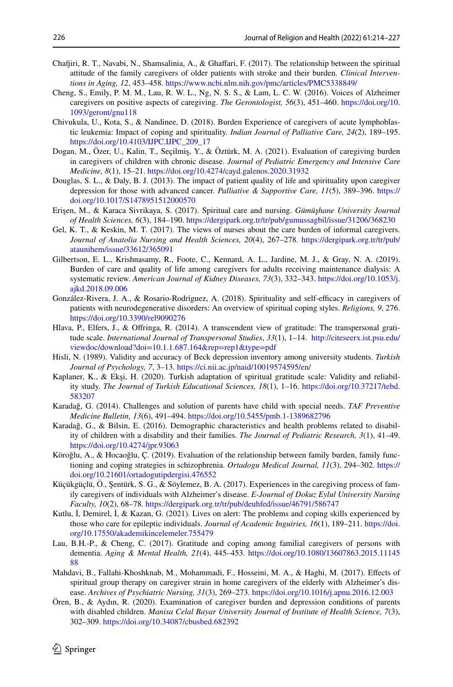- <span id="page-12-6"></span>Chafiri, R. T., Navabi, N., Shamsalinia, A., & Ghafari, F. (2017). The relationship between the spiritual attitude of the family caregivers of older patients with stroke and their burden. *Clinical Interventions in Aging, 12*, 453–458. <https://www.ncbi.nlm.nih.gov/pmc/articles/PMC5338849/>
- <span id="page-12-11"></span>Cheng, S., Emily, P. M. M., Lau, R. W. L., Ng, N. S. S., & Lam, L. C. W. (2016). Voices of Alzheimer caregivers on positive aspects of caregiving. *The Gerontologist, 56*(3), 451–460. [https://doi.org/10.](https://doi.org/10.1093/geront/gnu118) [1093/geront/gnu118](https://doi.org/10.1093/geront/gnu118)
- <span id="page-12-16"></span>Chivukula, U., Kota, S., & Nandinee, D. (2018). Burden Experience of caregivers of acute lymphoblastic leukemia: Impact of coping and spirituality. *Indian Journal of Palliative Care, 24*(2), 189–195. [https://doi.org/10.4103/IJPC.IJPC\\_209\\_17](https://doi.org/10.4103/IJPC.IJPC_209_17)
- <span id="page-12-18"></span>Dogan, M., Özer, U., Kalin, T., Seçilmiş, Y., & Öztürk, M. A. (2021). Evaluation of caregiving burden in caregivers of children with chronic disease. *Journal of Pediatric Emergency and Intensive Care Medicine, 8*(1), 15–21.<https://doi.org/10.4274/cayd.galenos.2020.31932>
- <span id="page-12-19"></span>Douglas, S. L., & Daly, B. J. (2013). The impact of patient quality of life and spirituality upon caregiver depression for those with advanced cancer. *Palliative & Supportive Care, 11*(5), 389–396. [https://](https://doi.org/10.1017/S1478951512000570) [doi.org/10.1017/S1478951512000570](https://doi.org/10.1017/S1478951512000570)
- <span id="page-12-7"></span>Erişen, M., & Karaca Sivrikaya, S. (2017). Spiritual care and nursing. *Gümüşhane University Journal of Health Sciences, 6*(3), 184–190. <https://dergipark.org.tr/tr/pub/gumussagbil/issue/31206/368230>
- <span id="page-12-1"></span>Gel, K. T., & Keskin, M. T. (2017). The views of nurses about the care burden of informal caregivers. *Journal of Anatolia Nursing and Health Sciences, 20*(4), 267–278. [https://dergipark.org.tr/tr/pub/](https://dergipark.org.tr/tr/pub/ataunihem/issue/33612/365091) [ataunihem/issue/33612/365091](https://dergipark.org.tr/tr/pub/ataunihem/issue/33612/365091)
- <span id="page-12-2"></span>Gilbertson, E. L., Krishnasamy, R., Foote, C., Kennard, A. L., Jardine, M. J., & Gray, N. A. (2019). Burden of care and quality of life among caregivers for adults receiving maintenance dialysis: A systematic review. *American Journal of Kidney Diseases, 73*(3), 332–343. [https://doi.org/10.1053/j.](https://doi.org/10.1053/j.ajkd.2018.09.006) [ajkd.2018.09.006](https://doi.org/10.1053/j.ajkd.2018.09.006)
- <span id="page-12-15"></span>González-Rivera, J. A., & Rosario-Rodríguez, A. (2018). Spirituality and self-efficacy in caregivers of patients with neurodegenerative disorders: An overview of spiritual coping styles. *Religions, 9*, 276. <https://doi.org/10.3390/rel9090276>
- <span id="page-12-9"></span>Hlava, P., Elfers, J., & Ofringa, R. (2014). A transcendent view of gratitude: The transpersonal gratitude scale. *International Journal of Transpersonal Studies*, *33*(1), 1–14. [http://citeseerx.ist.psu.edu/](http://citeseerx.ist.psu.edu/viewdoc/download?doi=10.1.1.687.164&rep=rep1&type=pdf) [viewdoc/download?doi=10.1.1.687.164&rep=rep1&type=pdf](http://citeseerx.ist.psu.edu/viewdoc/download?doi=10.1.1.687.164&rep=rep1&type=pdf)
- <span id="page-12-10"></span>Hisli, N. (1989). Validity and accuracy of Beck depression inventory among university students. *Turkish Journal of Psychology, 7*, 3–13. <https://ci.nii.ac.jp/naid/10019574595/en/>
- <span id="page-12-4"></span>Kaplaner, K., & Ekşi, H. (2020). Turkish adaptation of spiritual gratitude scale: Validity and reliability study. *The Journal of Turkish Educational Sciences, 18*(1), 1–16. [https://doi.org/10.37217/tebd.](https://doi.org/10.37217/tebd.583207) [583207](https://doi.org/10.37217/tebd.583207)
- <span id="page-12-8"></span>Karadağ, G. (2014). Challenges and solution of parents have child with special needs. *TAF Preventive Medicine Bulletin, 13*(6), 491–494.<https://doi.org/10.5455/pmb.1-1389682796>
- <span id="page-12-3"></span>Karadağ, G., & Bilsin, E. (2016). Demographic characteristics and health problems related to disability of children with a disability and their families. *The Journal of Pediatric Research, 3*(1), 41–49. <https://doi.org/10.4274/jpr.93063>
- <span id="page-12-14"></span>Köroğlu, A., & Hocaoğlu, Ç. (2019). Evaluation of the relationship between family burden, family functioning and coping strategies in schizophrenia. *Ortadogu Medical Journal, 11*(3), 294–302. [https://](https://doi.org/10.21601/ortadogutipdergisi.476552) [doi.org/10.21601/ortadogutipdergisi.476552](https://doi.org/10.21601/ortadogutipdergisi.476552)
- <span id="page-12-12"></span>Küçükgüçlü, Ö., Şentürk, S. G., & Söylemez, B. A. (2017). Experiences in the caregiving process of family caregivers of individuals with Alzheimer's disease. *E-Journal of Dokuz Eylul University Nursing Faculty, 10*(2), 68–78.<https://dergipark.org.tr/tr/pub/deuhfed/issue/46791/586747>
- <span id="page-12-13"></span>Kutlu, İ, Demirel, İ, & Kazan, G. (2021). Lives on alert: The problems and coping skills experienced by those who care for epileptic individuals. *Journal of Academic Inguiries, 16*(1), 189–211. [https://doi.](https://doi.org/10.17550/akademikincelemeler.755479) [org/10.17550/akademikincelemeler.755479](https://doi.org/10.17550/akademikincelemeler.755479)
- <span id="page-12-5"></span>Lau, B.H.-P., & Cheng, C. (2017). Gratitude and coping among familial caregivers of persons with dementia. *Aging & Mental Health, 21*(4), 445–453. [https://doi.org/10.1080/13607863.2015.11145](https://doi.org/10.1080/13607863.2015.1114588) [88](https://doi.org/10.1080/13607863.2015.1114588)
- <span id="page-12-17"></span>Mahdavi, B., Fallahi-Khoshknab, M., Mohammadi, F., Hosseini, M. A., & Haghi, M. (2017). Efects of spiritual group therapy on caregiver strain in home caregivers of the elderly with Alzheimer's disease. *Archives of Psychiatric Nursing, 31*(3), 269–273. <https://doi.org/10.1016/j.apnu.2016.12.003>
- <span id="page-12-0"></span>Ören, B., & Aydın, R. (2020). Examination of caregiver burden and depression conditions of parents with disabled children. *Manisa Celal Bayar University Journal of Institute of Health Science, 7*(3), 302–309.<https://doi.org/10.34087/cbusbed.682392>